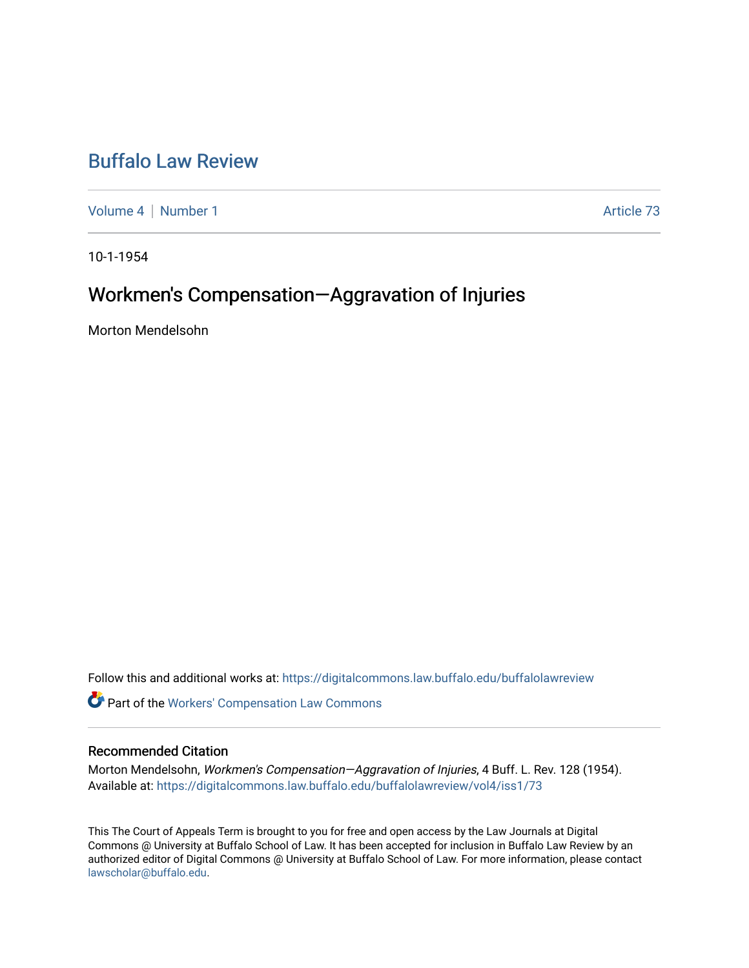## [Buffalo Law Review](https://digitalcommons.law.buffalo.edu/buffalolawreview)

[Volume 4](https://digitalcommons.law.buffalo.edu/buffalolawreview/vol4) | [Number 1](https://digitalcommons.law.buffalo.edu/buffalolawreview/vol4/iss1) Article 73

10-1-1954

# Workmen's Compensation—Aggravation of Injuries

Morton Mendelsohn

Follow this and additional works at: [https://digitalcommons.law.buffalo.edu/buffalolawreview](https://digitalcommons.law.buffalo.edu/buffalolawreview?utm_source=digitalcommons.law.buffalo.edu%2Fbuffalolawreview%2Fvol4%2Fiss1%2F73&utm_medium=PDF&utm_campaign=PDFCoverPages) 

**Part of the [Workers' Compensation Law Commons](http://network.bepress.com/hgg/discipline/889?utm_source=digitalcommons.law.buffalo.edu%2Fbuffalolawreview%2Fvol4%2Fiss1%2F73&utm_medium=PDF&utm_campaign=PDFCoverPages)** 

### Recommended Citation

Morton Mendelsohn, Workmen's Compensation—Aggravation of Injuries, 4 Buff. L. Rev. 128 (1954). Available at: [https://digitalcommons.law.buffalo.edu/buffalolawreview/vol4/iss1/73](https://digitalcommons.law.buffalo.edu/buffalolawreview/vol4/iss1/73?utm_source=digitalcommons.law.buffalo.edu%2Fbuffalolawreview%2Fvol4%2Fiss1%2F73&utm_medium=PDF&utm_campaign=PDFCoverPages) 

This The Court of Appeals Term is brought to you for free and open access by the Law Journals at Digital Commons @ University at Buffalo School of Law. It has been accepted for inclusion in Buffalo Law Review by an authorized editor of Digital Commons @ University at Buffalo School of Law. For more information, please contact [lawscholar@buffalo.edu](mailto:lawscholar@buffalo.edu).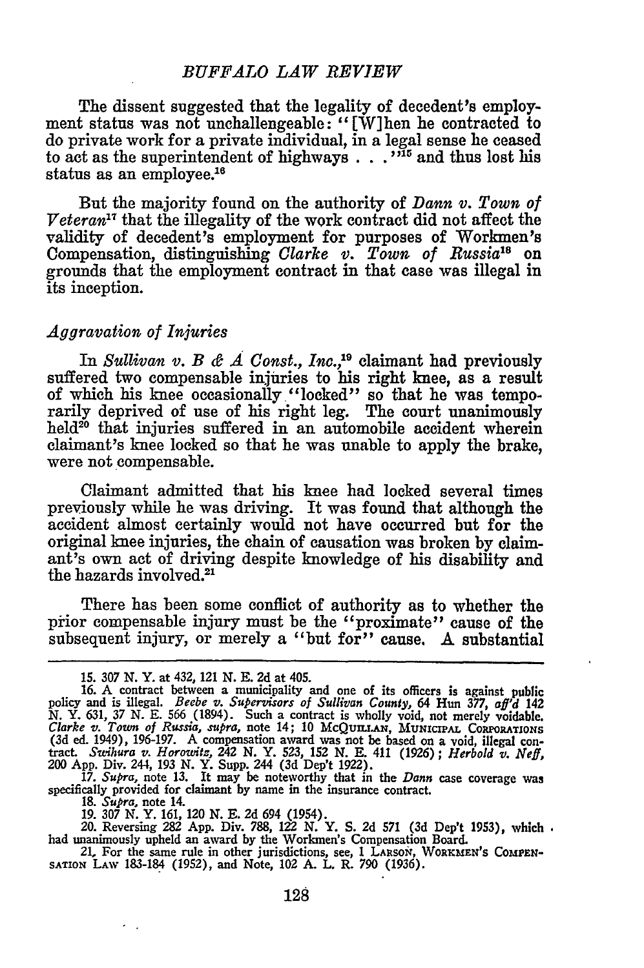#### *BUFFALO LAW REVIEW*

The dissent suggested that the legality of decedent's employment status was not unchallengeable: "[W]hen he contracted to do private work for a private individual, in a legal sense he ceased to act as the superintendent of highways  $\ldots$ <sup>215</sup> and thus lost his status as an employee.'

But the majority found on the authority of *Dann v. Town of*  $Veteran^{17}$  that the illegality of the work contract did not affect the validity of decedent's employment for purposes of Workmen's Compensation, distinguishing *Clarke v. Town of Russia*<sup>18</sup> or grounds that the employment contract in that case was illegal in its inception.

### *Aggravation of Injuries*

In *Sullivan v. B &*  $\vec{A}$  *Const., Inc.*,<sup>19</sup> claimant had previously suffered two compensable injuries to his right knee, as a result of which his knee occasionally "locked" so that he was temporarily deprived of use of his right leg. The court unanimously  $h$ eld<sup>20</sup> that injuries suffered in an automobile accident wherein claimant's knee locked so that he was unable to apply the brake, were not compensable.

Claimant admitted that his knee had locked several times previously while he was driving. It was found that although the accident almost certainly would not have occurred but for the original knee injuries, the chain of causation was broken by claimant's own act of driving despite knowledge of his disability and the hazards involved.2'

There has been some conflict of authority as to whether the prior compensable injury must be the "proximate" cause of the subsequent injury, or merely a "but for" cause. A substantial

200 App. Div. 244, 193 N. Y. Supp. 244 (3d Dep't 1922).<br>17. Supra, note 13. It may be noteworthy that in the *Dann* case coverage was<br>specifically provided for claimant by name in the insurance contract.

18. *Supra,* note 14.

 $\sim$ 

19. *307* N. Y. 161, 120 N. **E.** 2d 694 (1954).

20. Reversing *282* **App.** Div. 788, 122 N. Y. S. 2d **571** (3d Dep't 1953), which had unanimously upheld an award by the Workmen's Compensation Board.

21, For the same rule in other jurisdictions, see, 1 LARSON, WORKMEN'S COMPEN-**SATOiN** LAW 183-184 (1952), and Note, 102 A. L. R. 790 (1936).

<sup>15.</sup> *307* N. Y. at 432, 121 N. E. **2d** at 405.

**<sup>16.</sup>** A contract between a municipality and one of its officers is against public policy and is illegal. *Beebe v. Supervisors of Sullivan County,* 64 Hun *377, aff'd 142* N. Y. 631, 37 N. E. 566 (1894). Such a contract is wholly void, not merely voidable.<br>*Clarke v. Town of Russia, supra,* note 14; 10 McQUILLAN, MUNICIPAL CORFORATIONS (3d ed. 1949), 196-197. A compensation award was not be based on a void, illegal contract. Swihura v. *Horowitz*, 242 N. Y. 523, 152 N. E. 411 (1926); *Herbold v. Neff*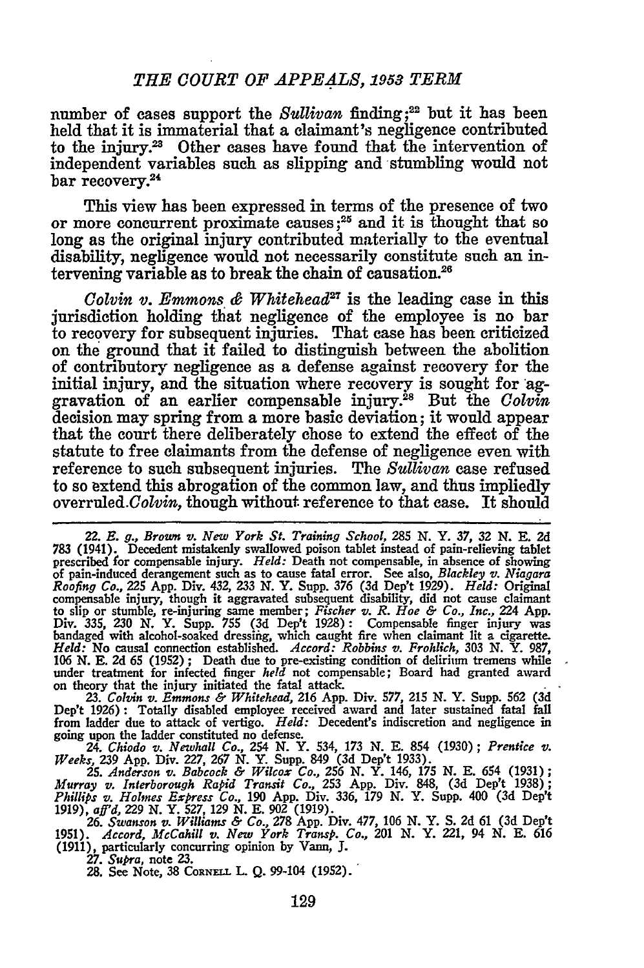number of cases support the *Sullivan* finding;<sup>22</sup> but it has been held that it is immaterial that a claimant's negligence contributed to the injury.<sup>23</sup> Other cases have found that the intervention of independent variables such as slipping and stumbling would not bar recovery.<sup>24</sup>

This view has been expressed in terms of the presence of two or more concurrent proximate causes **;25** and it is thought that so long as the original injury contributed materially to the eventual disability, negligence would not necessarily constitute such an intervening variable as to break the chain of causation.26

*Colvin v. Emmons & Whitehead*<sup>27</sup> is the leading case in this jurisdiction holding that negligence of the employee is no bar to recovery for subsequent injuries. That case has been criticized on the ground that it failed to distinguish between the abolition of contributory negligence as a defense against recovery for the initial injury, and the situation where recovery is sought for aggravation of an earlier compensable injury.28 But the *Colvin* decision may spring from a more basic deviation; it would appear that the court there deliberately chose to extend the effect of the statute to free claimants from the defense of negligence even with reference to such subsequent injuries. The *Sullivan* case refused to so extend this abrogation of the common law, and thus impliedly overruled.Colvin, though without reference to that case. It should

on theory that the injury initiated the fatal attack.<br>
23. Colvin v. Emmons & Whitehead, 216 App. Div. 577, 215 N. Y. Supp. 562 (3d<br>
Dep't 1926): Totally disabled employee received award and later sustained fatal fall<br>
fro going upon the ladder constituted no defense. 24. *Chiodo v. Newhall Co.,* 254 **N.** Y. 534, **173 N. E.** 854 **(1930);** *Prentice v.*

*Weeks,* 239 App. Div. 227, 267 N. Y. Supp. 849 (3d Dep't 1933).<br>25. Anderson v. Babcock & Wilcox Co., 256 N. Y. 146, 175 N. E. 654 (1931)

*Murray v. Interborough Rapid Transit Co.,* **253 App.** Div. 848, **(3d** Dep't **1938);** *Phillips v. Holmes Express Co.,* **190 App.** Div. **336, 179 N.** Y. Supp. 400 **(3d Dep't 1919),** *aff'd, 229* **N.** Y. **527, 129 N. E. 902 (1919).**

*26. Swanson v. Williams & Co.,* **278 App.** Div. **477, 106 N.** Y. **S. 2d 61 (3d** Dep't **1951).** *Accord, McCahill v. New York Transp. Co.,* 201 **N.** Y. 221, 94 **N. E. 616 (1911),** particularly concurring opinion **by** Vann, **J.**

**27.** *Supra,* note **23.**

**28.** See Note, **38 CORNEL L. Q.** 99-104 **(1952).**

<sup>22.</sup> *E. g., Brown v. New York St. Training School, 285 N.* Y. **37, 32** *N.* **E. 2d** 783 (1941). Decedent mistakenly swallowed poison tablet instead of pain-relieving tablet<br>prescribed for compensable injury. *Held*: Death not compensable, in absence of showing<br>of pain-induced derangement such as to cause *Roofing Co.,* 225 **App.** Div. 432, **233 N.** Y. Supp. **376 (3d Dep't 1929).** *Held:* Original compensable injury, though it aggravated subsequent disability, did not cause claimant to slip or stumble, re-injuring same member; *Fischer v. R. Hoe & Co., Inc.,* 224 **App.** Div. **335, 230 N.** Y. Supp. **755 (3d** Dep't **1928):** Compensable finger injury was bandaged with alcohol-soaked dressifig, which caught fire when claimant lit a cigarette. *Held:* No causal connection established. *Accord: Robbins v. Frohlich,* **303 N.** Y. **987, 106 N. E. 2d 65 (1952) ;** Death due to pre-existing condition of delirium tremens while under treatment for infected finger *held* not compensable; Board had granted award